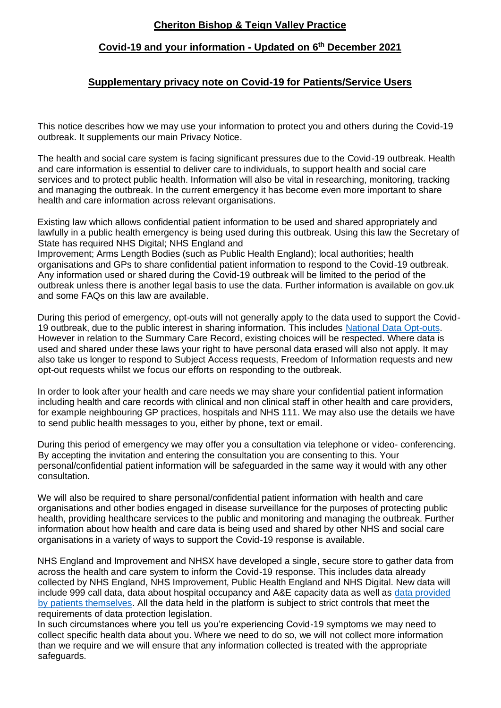# **Cheriton Bishop & Teign Valley Practice**

## **Covid-19 and your information - Updated on 6 th December 2021**

## **Supplementary privacy note on Covid-19 for Patients/Service Users**

This notice describes how we may use your information to protect you and others during the Covid-19 outbreak. It supplements our main Privacy Notice.

The health and social care system is facing significant pressures due to the Covid-19 outbreak. Health and care information is essential to deliver care to individuals, to support health and social care services and to protect public health. Information will also be vital in researching, monitoring, tracking and managing the outbreak. In the current emergency it has become even more important to share health and care information across relevant organisations.

Existing law which allows confidential patient information to be used and shared appropriately and lawfully in a public health emergency is being used during this outbreak. Using this law the Secretary of State has required NHS Digital; NHS England and

Improvement; Arms Length Bodies (such as Public Health England); local authorities; health organisations and GPs to share confidential patient information to respond to the Covid-19 outbreak. Any information used or shared during the Covid-19 outbreak will be limited to the period of the outbreak unless there is another legal basis to use the data. Further information is available on gov.uk and some FAQs on this law are available.

During this period of emergency, opt-outs will not generally apply to the data used to support the Covid-19 outbreak, due to the public interest in sharing information. This includes [National Data Opt-outs.](https://www.nhs.uk/your-nhs-data-matters/) However in relation to the Summary Care Record, existing choices will be respected. Where data is used and shared under these laws your right to have personal data erased will also not apply. It may also take us longer to respond to Subject Access requests, Freedom of Information requests and new opt-out requests whilst we focus our efforts on responding to the outbreak.

In order to look after your health and care needs we may share your confidential patient information including health and care records with clinical and non clinical staff in other health and care providers, for example neighbouring GP practices, hospitals and NHS 111. We may also use the details we have to send public health messages to you, either by phone, text or email.

During this period of emergency we may offer you a consultation via telephone or video- conferencing. By accepting the invitation and entering the consultation you are consenting to this. Your personal/confidential patient information will be safeguarded in the same way it would with any other consultation.

We will also be required to share personal/confidential patient information with health and care organisations and other bodies engaged in disease surveillance for the purposes of protecting public health, providing healthcare services to the public and monitoring and managing the outbreak. Further information about how health and care data is being used and shared by other NHS and social care organisations in a variety of ways to support the Covid-19 response is available.

NHS England and Improvement and NHSX have developed a single, secure store to gather data from across the health and care system to inform the Covid-19 response. This includes data already collected by NHS England, NHS Improvement, Public Health England and NHS Digital. New data will include 999 call data, data about hospital occupancy and A&E capacity data as well as data provided [by patients themselves.](https://www.nhs.uk/coronavirus-status-checker) All the data held in the platform is subject to strict controls that meet the requirements of data protection legislation.

In such circumstances where you tell us you're experiencing Covid-19 symptoms we may need to collect specific health data about you. Where we need to do so, we will not collect more information than we require and we will ensure that any information collected is treated with the appropriate safeguards.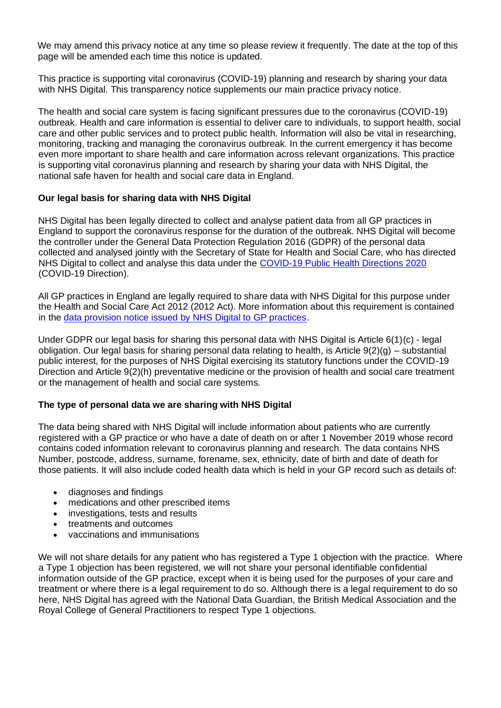We may amend this privacy notice at any time so please review it frequently. The date at the top of this page will be amended each time this notice is updated.

This practice is supporting vital coronavirus (COVID-19) planning and research by sharing your data with NHS Digital. This transparency notice supplements our main practice privacy notice.

The health and social care system is facing significant pressures due to the coronavirus (COVID-19) outbreak. Health and care information is essential to deliver care to individuals, to support health, social care and other public services and to protect public health. Information will also be vital in researching, monitoring, tracking and managing the coronavirus outbreak. In the current emergency it has become even more important to share health and care information across relevant organizations. This practice is supporting vital coronavirus planning and research by sharing your data with NHS Digital, the national safe haven for health and social care data in England.

#### **Our legal basis for sharing data with NHS Digital**

NHS Digital has been legally directed to collect and analyse patient data from all GP practices in England to support the coronavirus response for the duration of the outbreak. NHS Digital will become the controller under the General Data Protection Regulation 2016 (GDPR) of the personal data collected and analysed jointly with the Secretary of State for Health and Social Care, who has directed NHS Digital to collect and analyse this data under the [COVID-19 Public Health Directions 2020](https://digital.nhs.uk/about-nhs-digital/corporate-information-and-documents/directions-and-data-provision-notices/secretary-of-state-directions/covid-19-public-health-directions-2020) (COVID-19 Direction).

All GP practices in England are legally required to share data with NHS Digital for this purpose under the Health and Social Care Act 2012 (2012 Act). More information about this requirement is contained in the [data provision notice issued by NHS Digital to GP practices.](https://digital.nhs.uk/about-nhs-digital/corporate-information-and-documents/directions-and-data-provision-notices/data-provision-notices-dpns/gpes-data-for-pandemic-planning-and-research)

Under GDPR our legal basis for sharing this personal data with NHS Digital is Article 6(1)(c) - legal obligation. Our legal basis for sharing personal data relating to health, is Article 9(2)(g) – substantial public interest, for the purposes of NHS Digital exercising its statutory functions under the COVID-19 Direction and Article 9(2)(h) preventative medicine or the provision of health and social care treatment or the management of health and social care systems.

#### **The type of personal data we are sharing with NHS Digital**

The data being shared with NHS Digital will include information about patients who are currently registered with a GP practice or who have a date of death on or after 1 November 2019 whose record contains coded information relevant to coronavirus planning and research. The data contains NHS Number, postcode, address, surname, forename, sex, ethnicity, date of birth and date of death for those patients. It will also include coded health data which is held in your GP record such as details of:

- diagnoses and findings
- medications and other prescribed items
- investigations, tests and results
- treatments and outcomes
- vaccinations and immunisations

We will not share details for any patient who has registered a Type 1 objection with the practice. Where a Type 1 objection has been registered, we will not share your personal identifiable confidential information outside of the GP practice, except when it is being used for the purposes of your care and treatment or where there is a legal requirement to do so. Although there is a legal requirement to do so here, NHS Digital has agreed with the National Data Guardian, the British Medical Association and the Royal College of General Practitioners to respect Type 1 objections.